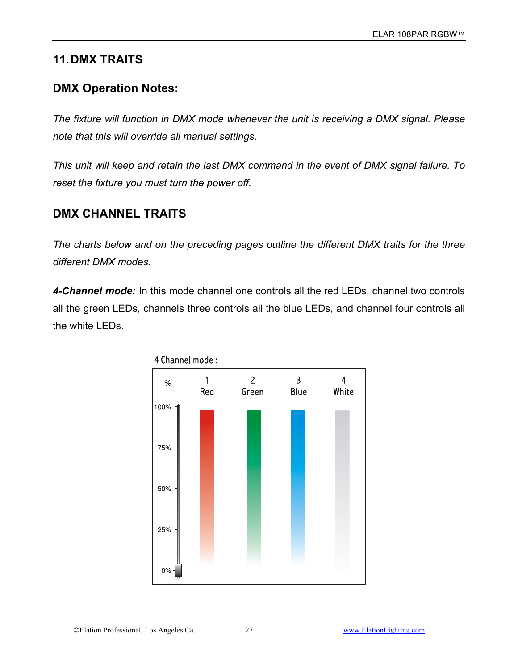# **11.DMX TRAITS**

## **DMX Operation Notes:**

*The fixture will function in DMX mode whenever the unit is receiving a DMX signal. Please note that this will override all manual settings.* 

*This unit will keep and retain the last DMX command in the event of DMX signal failure. To reset the fixture you must turn the power off.*

## **DMX CHANNEL TRAITS**

*The charts below and on the preceding pages outline the different DMX traits for the three different DMX modes.*

*4-Channel mode:* In this mode channel one controls all the red LEDs, channel two controls all the green LEDs, channels three controls all the blue LEDs, and channel four controls all the white LEDs.

| $\%$     | 1<br>Red | $\overline{2}$<br>Green | $\overline{\mathbf{3}}$<br><b>Blue</b> | 4<br>White |  |
|----------|----------|-------------------------|----------------------------------------|------------|--|
| 100% -   |          |                         |                                        |            |  |
| 75% -    |          |                         |                                        |            |  |
| $50\%$ - |          |                         |                                        |            |  |
| $25% -$  |          |                         |                                        |            |  |
| $0\%$ -  |          |                         |                                        |            |  |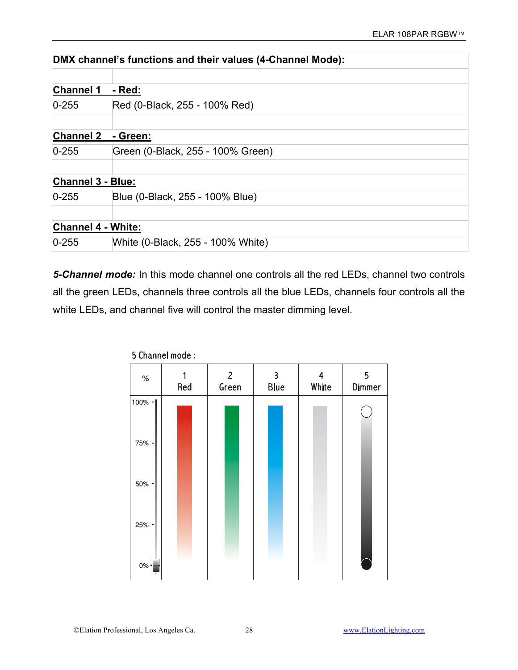|                           | DMX channel's functions and their values (4-Channel Mode): |
|---------------------------|------------------------------------------------------------|
|                           |                                                            |
| <b>Channel 1</b>          | - Red:                                                     |
| $0 - 255$                 | Red (0-Black, 255 - 100% Red)                              |
|                           |                                                            |
| <b>Channel 2</b>          | - Green:                                                   |
| $0 - 255$                 | Green (0-Black, 255 - 100% Green)                          |
|                           |                                                            |
| <b>Channel 3 - Blue:</b>  |                                                            |
| $0 - 255$                 | Blue (0-Black, 255 - 100% Blue)                            |
|                           |                                                            |
| <b>Channel 4 - White:</b> |                                                            |
| $0 - 255$                 | White (0-Black, 255 - 100% White)                          |

*5-Channel mode:* In this mode channel one controls all the red LEDs, channel two controls all the green LEDs, channels three controls all the blue LEDs, channels four controls all the white LEDs, and channel five will control the master dimming level.

| $\%$         | Red | $\overline{2}$<br>Green | 3<br><b>Blue</b> |  | 5<br>Dimmer |
|--------------|-----|-------------------------|------------------|--|-------------|
| 100%<br>-1   |     |                         |                  |  |             |
| 75%<br>ᅴ     |     |                         |                  |  |             |
| 50%<br>ᆌ     |     |                         |                  |  |             |
| 25%<br>ᆌ     |     |                         |                  |  |             |
| $0\%$ -<br>ᡣ |     |                         |                  |  |             |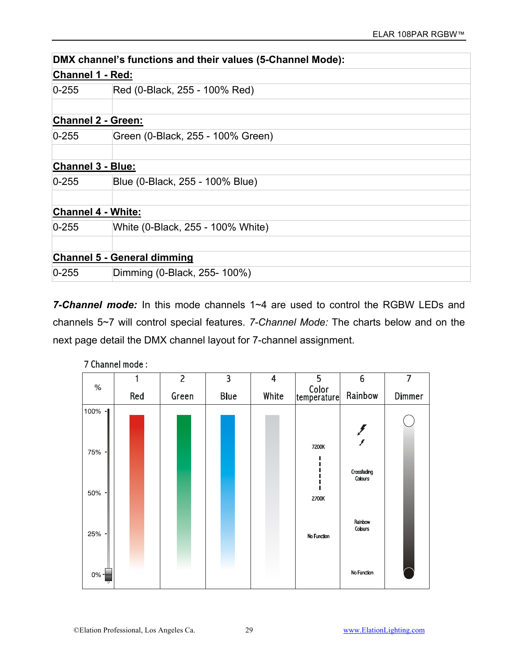|                           | DMX channel's functions and their values (5-Channel Mode): |  |  |  |  |
|---------------------------|------------------------------------------------------------|--|--|--|--|
| Channel 1 - Red:          |                                                            |  |  |  |  |
| $0 - 255$                 | Red (0-Black, 255 - 100% Red)                              |  |  |  |  |
|                           |                                                            |  |  |  |  |
| <b>Channel 2 - Green:</b> |                                                            |  |  |  |  |
| $0 - 255$                 | Green (0-Black, 255 - 100% Green)                          |  |  |  |  |
| <b>Channel 3 - Blue:</b>  |                                                            |  |  |  |  |
| $0 - 255$                 | Blue (0-Black, 255 - 100% Blue)                            |  |  |  |  |
| <b>Channel 4 - White:</b> |                                                            |  |  |  |  |
| $0 - 255$                 | White (0-Black, 255 - 100% White)                          |  |  |  |  |
|                           | <b>Channel 5 - General dimming</b>                         |  |  |  |  |
| $0 - 255$                 | Dimming (0-Black, 255-100%)                                |  |  |  |  |

*7-Channel mode:* In this mode channels 1~4 are used to control the RGBW LEDs and channels 5~7 will control special features. *7-Channel Mode:* The charts below and on the next page detail the DMX channel layout for 7-channel assignment.

|                       |     | $\overline{c}$ | $\overline{\mathbf{3}}$ | 4     | 5                                                                  | 6                      | 7      |
|-----------------------|-----|----------------|-------------------------|-------|--------------------------------------------------------------------|------------------------|--------|
| $\%$                  | Red | Green          | <b>Blue</b>             | White | $\begin{vmatrix} \text{Color} \\ \text{temperature} \end{vmatrix}$ | Rainbow                | Dimmer |
| 100% -<br>75% -       |     |                |                         |       | 7200K                                                              | F<br>F                 |        |
| 50%<br>$\blacksquare$ |     |                |                         |       | 2700K                                                              | Crossfading<br>Colours |        |
| 25%<br>٠              |     |                |                         |       | No Function                                                        | Rainbow<br>Colours     |        |
| $0\% -$               |     |                |                         |       |                                                                    | No Function            |        |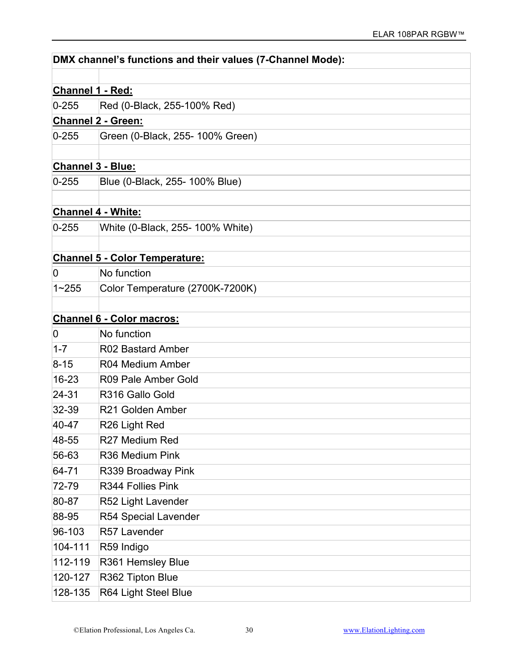|                          | DMX channel's functions and their values (7-Channel Mode): |
|--------------------------|------------------------------------------------------------|
|                          |                                                            |
| Channel 1 - Red:         |                                                            |
| $0 - 255$                | Red (0-Black, 255-100% Red)                                |
|                          | <b>Channel 2 - Green:</b>                                  |
| $0 - 255$                | Green (0-Black, 255- 100% Green)                           |
|                          |                                                            |
| <b>Channel 3 - Blue:</b> |                                                            |
| $0 - 255$                | Blue (0-Black, 255- 100% Blue)                             |
|                          |                                                            |
|                          | <b>Channel 4 - White:</b>                                  |
| $0 - 255$                | White (0-Black, 255- 100% White)                           |
|                          |                                                            |
|                          | <b>Channel 5 - Color Temperature:</b>                      |
| 0                        | No function                                                |
| $1 - 255$                | Color Temperature (2700K-7200K)                            |
|                          |                                                            |
|                          | <b>Channel 6 - Color macros:</b>                           |
| 0                        | No function                                                |
| $1 - 7$                  | R02 Bastard Amber                                          |
| $8 - 15$                 | R04 Medium Amber                                           |
| $16 - 23$                | R09 Pale Amber Gold                                        |
| $24 - 31$                | R316 Gallo Gold                                            |
| $32 - 39$                | R21 Golden Amber                                           |
| 40-47                    | R26 Light Red                                              |
| 48-55                    | R27 Medium Red                                             |
| 56-63                    | R36 Medium Pink                                            |
| 64-71                    | R339 Broadway Pink                                         |
| 72-79                    | R344 Follies Pink                                          |
| 80-87                    | R52 Light Lavender                                         |
| 88-95                    | R54 Special Lavender                                       |
| 96-103                   | R57 Lavender                                               |
| 104-111                  | R59 Indigo                                                 |
| 112-119                  | R361 Hemsley Blue                                          |
| 120-127                  | R362 Tipton Blue                                           |
| 128-135                  | R64 Light Steel Blue                                       |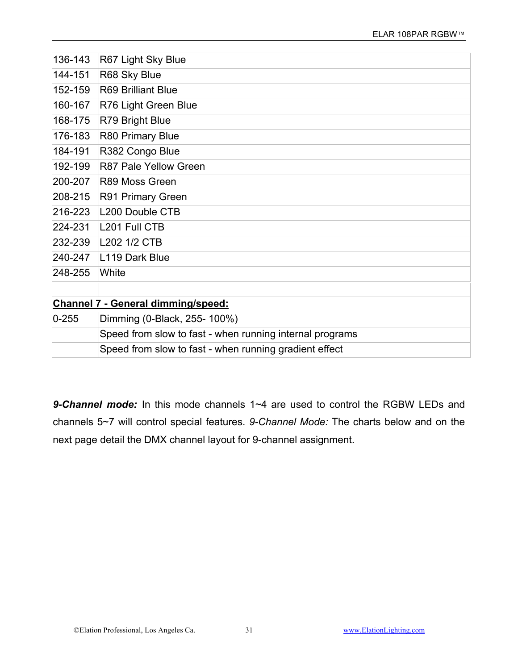| 136-143   | R67 Light Sky Blue                                       |
|-----------|----------------------------------------------------------|
| 144-151   | R68 Sky Blue                                             |
| 152-159   | <b>R69 Brilliant Blue</b>                                |
| 160-167   | R76 Light Green Blue                                     |
| 168-175   | R79 Bright Blue                                          |
| 176-183   | R80 Primary Blue                                         |
| 184-191   | R382 Congo Blue                                          |
| 192-199   | R87 Pale Yellow Green                                    |
| 200-207   | R89 Moss Green                                           |
| 208-215   | R91 Primary Green                                        |
| 216-223   | L200 Double CTB                                          |
| 224-231   | L201 Full CTB                                            |
| 232-239   | L202 1/2 CTB                                             |
| 240-247   | L119 Dark Blue                                           |
| 248-255   | White                                                    |
|           |                                                          |
|           | <b>Channel 7 - General dimming/speed:</b>                |
| $0 - 255$ | Dimming (0-Black, 255-100%)                              |
|           | Speed from slow to fast - when running internal programs |
|           | Speed from slow to fast - when running gradient effect   |

*9-Channel mode:* In this mode channels 1~4 are used to control the RGBW LEDs and channels 5~7 will control special features. *9-Channel Mode:* The charts below and on the next page detail the DMX channel layout for 9-channel assignment.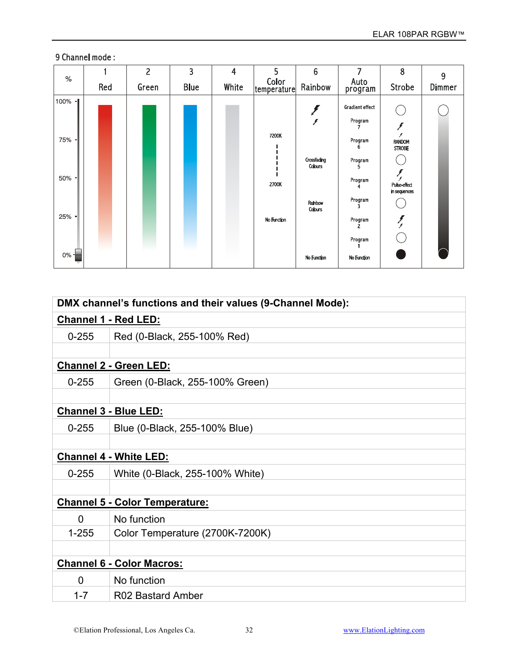| $\%$                               |     | $\overline{2}$ | 3           | $\overline{4}$ | 5                             | $6\phantom{1}$                                                  | 7                                                                                 | 8                                                                        | 9      |
|------------------------------------|-----|----------------|-------------|----------------|-------------------------------|-----------------------------------------------------------------|-----------------------------------------------------------------------------------|--------------------------------------------------------------------------|--------|
|                                    | Red | Green          | <b>Blue</b> | White          | Color<br> temperature         | Rainbow                                                         | Auto<br>program                                                                   | Strobe                                                                   | Dimmer |
| 100% -<br>75% -<br>$50\%$ -<br>25% |     |                |             |                | 7200K<br>2700K<br>No Function | y<br>Crossfading<br><b>Colours</b><br>Rainbow<br><b>Colours</b> | Gradient effect<br>Program<br>Program<br>Program<br>Program<br>Program<br>Program | ,<br><b>RANDOM</b><br><b>STROBE</b><br>Pulse-effect<br>in sequences<br>ζ |        |
| $0\%$ =                            |     |                |             |                |                               | No Function                                                     | Program<br>No Function                                                            |                                                                          |        |

|                             | DMX channel's functions and their values (9-Channel Mode): |  |  |  |
|-----------------------------|------------------------------------------------------------|--|--|--|
| <b>Channel 1 - Red LED:</b> |                                                            |  |  |  |
| $0 - 255$                   | Red (0-Black, 255-100% Red)                                |  |  |  |
|                             |                                                            |  |  |  |
|                             | <b>Channel 2 - Green LED:</b>                              |  |  |  |
| $0 - 255$                   | Green (0-Black, 255-100% Green)                            |  |  |  |
|                             |                                                            |  |  |  |
|                             | <b>Channel 3 - Blue LED:</b>                               |  |  |  |
| $0 - 255$                   | Blue (0-Black, 255-100% Blue)                              |  |  |  |
|                             |                                                            |  |  |  |
|                             | <b>Channel 4 - White LED:</b>                              |  |  |  |
| $0 - 255$                   | White (0-Black, 255-100% White)                            |  |  |  |
|                             |                                                            |  |  |  |
|                             | <b>Channel 5 - Color Temperature:</b>                      |  |  |  |
| $\Omega$                    | No function                                                |  |  |  |
| $1 - 255$                   | Color Temperature (2700K-7200K)                            |  |  |  |
|                             |                                                            |  |  |  |
|                             | <b>Channel 6 - Color Macros:</b>                           |  |  |  |
| $\Omega$                    | No function                                                |  |  |  |
| $1 - 7$                     | R02 Bastard Amber                                          |  |  |  |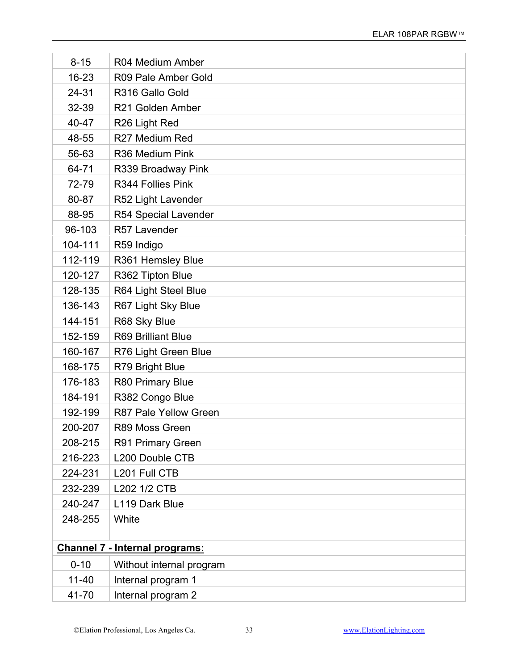| $8 - 15$  | R04 Medium Amber                      |
|-----------|---------------------------------------|
| 16-23     | R09 Pale Amber Gold                   |
| 24-31     | R316 Gallo Gold                       |
| 32-39     | R21 Golden Amber                      |
| 40-47     | R26 Light Red                         |
| 48-55     | R27 Medium Red                        |
| 56-63     | R36 Medium Pink                       |
| 64-71     | R339 Broadway Pink                    |
| 72-79     | R344 Follies Pink                     |
| 80-87     | R52 Light Lavender                    |
| 88-95     | R54 Special Lavender                  |
| 96-103    | R57 Lavender                          |
| 104-111   | R59 Indigo                            |
| 112-119   | R361 Hemsley Blue                     |
| 120-127   | R362 Tipton Blue                      |
| 128-135   | R64 Light Steel Blue                  |
| 136-143   | R67 Light Sky Blue                    |
| 144-151   | R68 Sky Blue                          |
| 152-159   | <b>R69 Brilliant Blue</b>             |
| 160-167   | R76 Light Green Blue                  |
| 168-175   | R79 Bright Blue                       |
| 176-183   | R80 Primary Blue                      |
| 184-191   | R382 Congo Blue                       |
| 192-199   | R87 Pale Yellow Green                 |
| 200-207   | R89 Moss Green                        |
| 208-215   | R91 Primary Green                     |
| 216-223   | L200 Double CTB                       |
| 224-231   | L201 Full CTB                         |
| 232-239   | L202 1/2 CTB                          |
| 240-247   | L119 Dark Blue                        |
| 248-255   | White                                 |
|           |                                       |
|           | <b>Channel 7 - Internal programs:</b> |
| $0 - 10$  | Without internal program              |
| $11 - 40$ | Internal program 1                    |
| 41-70     | Internal program 2                    |